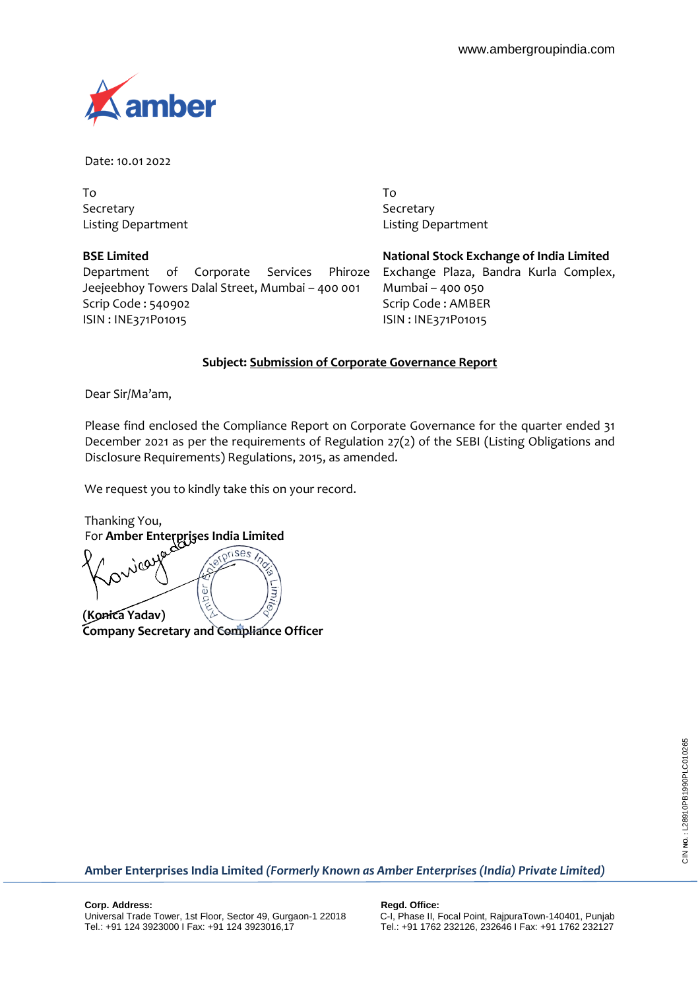

Date: 10.01 2022

To Secretary Listing Department

**BSE Limited**

Department of Corporate Services Phiroze Jeejeebhoy Towers Dalal Street, Mumbai – 400 001 Scrip Code : 540902 ISIN : INE371P01015

To Secretary Listing Department

**National Stock Exchange of India Limited** Exchange Plaza, Bandra Kurla Complex, Mumbai – 400 050 Scrip Code : AMBER ISIN : INE371P01015

## **Subject: Submission of Corporate Governance Report**

Dear Sir/Ma'am,

Please find enclosed the Compliance Report on Corporate Governance for the quarter ended 31 December 2021 as per the requirements of Regulation 27(2) of the SEBI (Listing Obligations and Disclosure Requirements) Regulations, 2015, as amended.

We request you to kindly take this on your record.

Thanking You, For **Amber Enterprises India Limited**

 $\widehat{r}$ um, đ **(Konica Yadav) Company Secretary and Compliance Officer**

CIN NO.: L28910PB1990PLC010265 CIN **NO. :** L28910PB1990PLC010265

**Amber Enterprises India Limited** *(Formerly Known as Amber Enterprises (India) Private Limited)*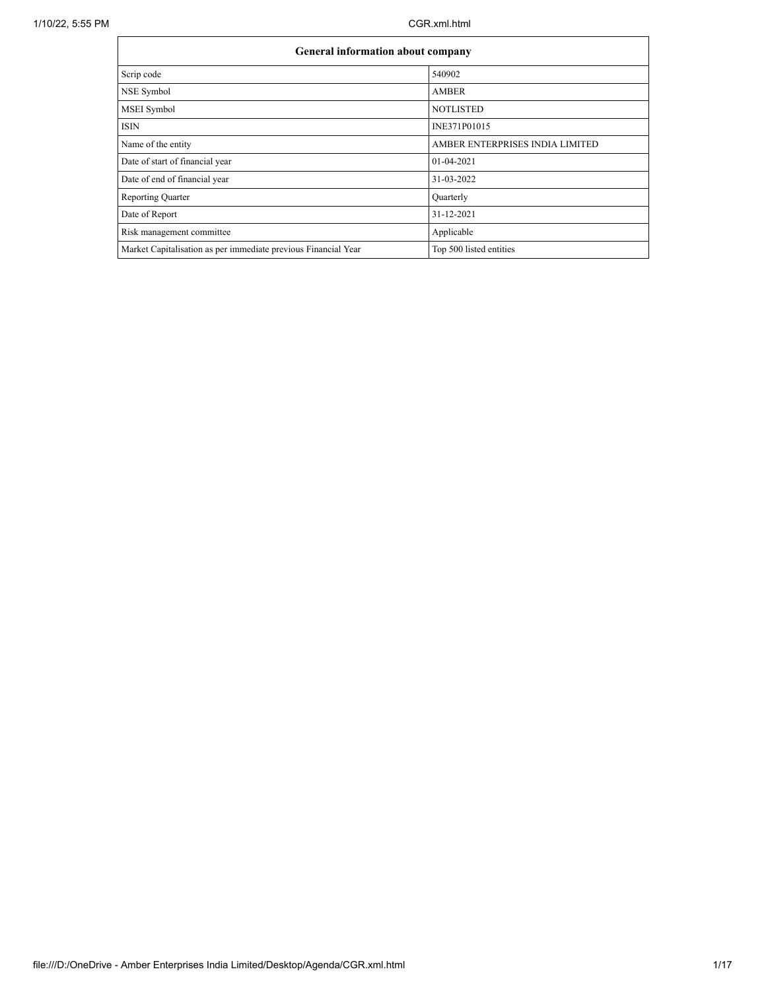$\mathbf{r}$ 

h

| <b>General information about company</b>                       |                                 |
|----------------------------------------------------------------|---------------------------------|
| Scrip code                                                     | 540902                          |
| NSE Symbol                                                     | <b>AMBER</b>                    |
| <b>MSEI</b> Symbol                                             | <b>NOTLISTED</b>                |
| <b>ISIN</b>                                                    | INE371P01015                    |
| Name of the entity                                             | AMBER ENTERPRISES INDIA LIMITED |
| Date of start of financial year                                | 01-04-2021                      |
| Date of end of financial year                                  | 31-03-2022                      |
| <b>Reporting Quarter</b>                                       | Quarterly                       |
| Date of Report                                                 | 31-12-2021                      |
| Risk management committee                                      | Applicable                      |
| Market Capitalisation as per immediate previous Financial Year | Top 500 listed entities         |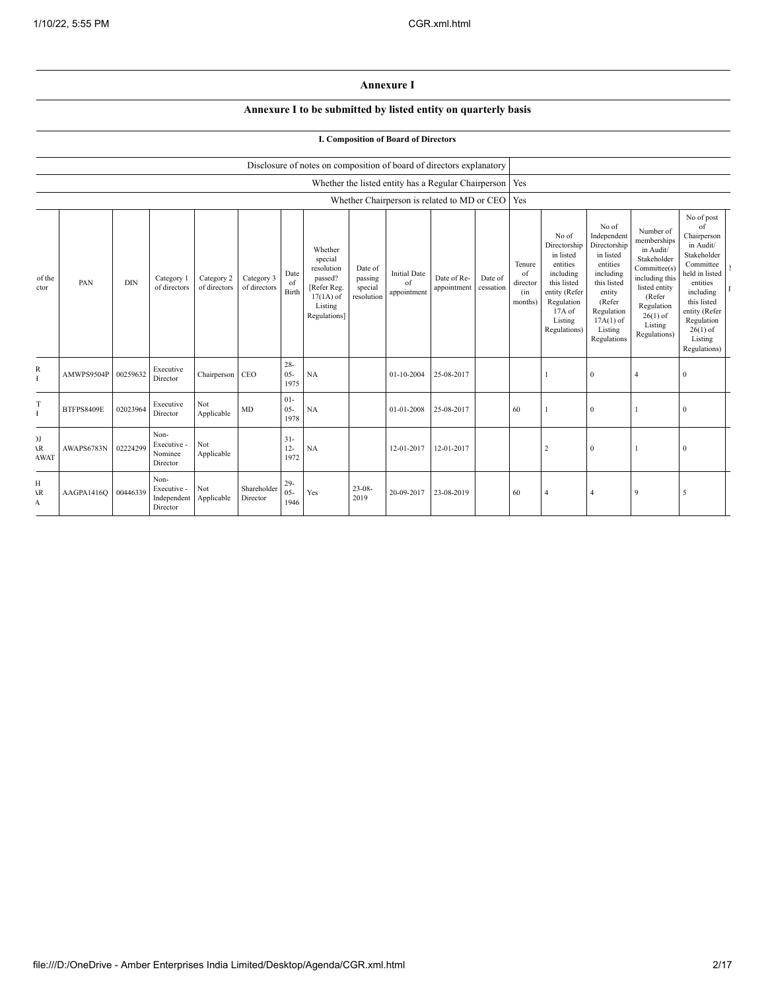## **Annexure I**

## **Annexure I to be submitted by listed entity on quarterly basis**

## **I. Composition of Board of Directors**

|                                               |                   |            |                                                |                            |                            |                          | Disclosure of notes on composition of board of directors explanatory                                 |                                             |                                          |                                                           |                      |                                            |                                                                                                                                                |                                                                                                                                                                      |                                                                                                                                                                          |                                                                                                                                                                                                            |  |
|-----------------------------------------------|-------------------|------------|------------------------------------------------|----------------------------|----------------------------|--------------------------|------------------------------------------------------------------------------------------------------|---------------------------------------------|------------------------------------------|-----------------------------------------------------------|----------------------|--------------------------------------------|------------------------------------------------------------------------------------------------------------------------------------------------|----------------------------------------------------------------------------------------------------------------------------------------------------------------------|--------------------------------------------------------------------------------------------------------------------------------------------------------------------------|------------------------------------------------------------------------------------------------------------------------------------------------------------------------------------------------------------|--|
|                                               |                   |            |                                                |                            |                            |                          |                                                                                                      |                                             |                                          | Whether the listed entity has a Regular Chairperson   Yes |                      |                                            |                                                                                                                                                |                                                                                                                                                                      |                                                                                                                                                                          |                                                                                                                                                                                                            |  |
|                                               |                   |            |                                                |                            |                            |                          |                                                                                                      |                                             |                                          | Whether Chairperson is related to MD or CEO   Yes         |                      |                                            |                                                                                                                                                |                                                                                                                                                                      |                                                                                                                                                                          |                                                                                                                                                                                                            |  |
| of the<br>ctor                                | PAN               | <b>DIN</b> | Category 1<br>of directors                     | Category 2<br>of directors | Category 3<br>of directors | Date<br>of<br>Birth      | Whether<br>special<br>resolution<br>passed?<br>[Refer Reg.<br>$17(1A)$ of<br>Listing<br>Regulations] | Date of<br>passing<br>special<br>resolution | <b>Initial Date</b><br>of<br>appointment | Date of Re-<br>appointment                                | Date of<br>cessation | Tenure<br>of<br>director<br>(in<br>months) | No of<br>Directorship<br>in listed<br>entities<br>including<br>this listed<br>entity (Refer<br>Regulation<br>17A of<br>Listing<br>Regulations) | No of<br>Independent<br>Directorship<br>in listed<br>entities<br>including<br>this listed<br>entity<br>(Refer<br>Regulation<br>$17A(1)$ of<br>Listing<br>Regulations | Number of<br>memberships<br>in Audit/<br>Stakeholder<br>Committee(s)<br>including this<br>listed entity<br>(Refer<br>Regulation<br>$26(1)$ of<br>Listing<br>Regulations) | No of post<br>of<br>Chairperson<br>in Audit/<br>Stakeholder<br>Committee<br>held in listed<br>entities<br>including<br>this listed<br>entity (Refer<br>Regulation<br>$26(1)$ of<br>Listing<br>Regulations) |  |
| R<br>Ŧ                                        | AMWPS9504P        | 00259632   | Executive<br>Director                          | Chairperson CEO            |                            | $28 -$<br>$05 -$<br>1975 | NA                                                                                                   |                                             | 01-10-2004                               | 25-08-2017                                                |                      |                                            |                                                                                                                                                | $\bf{0}$                                                                                                                                                             | $\overline{4}$                                                                                                                                                           | $\theta$                                                                                                                                                                                                   |  |
| T<br>$\mathbf{I}$                             | <b>BTFPS8409E</b> | 02023964   | Executive<br>Director                          | Not<br>Applicable          | MD                         | $01 -$<br>$05 -$<br>1978 | NA                                                                                                   |                                             | 01-01-2008                               | 25-08-2017                                                |                      | 60                                         |                                                                                                                                                | $\bf{0}$                                                                                                                                                             |                                                                                                                                                                          | $\mathbf{0}$                                                                                                                                                                                               |  |
| J <sub>J</sub><br>$\mathbf{R}$<br><b>AWAT</b> | AWAPS6783N        | 02224299   | Non-<br>Executive -<br>Nominee<br>Director     | Not<br>Applicable          |                            | $31 -$<br>$12 -$<br>1972 | NA                                                                                                   |                                             | 12-01-2017                               | 12-01-2017                                                |                      |                                            | $\overline{2}$                                                                                                                                 | $\bf{0}$                                                                                                                                                             |                                                                                                                                                                          | $\theta$                                                                                                                                                                                                   |  |
| H<br>١R<br>A                                  | AAGPA1416Q        | 00446339   | Non-<br>Executive -<br>Independent<br>Director | Not<br>Applicable          | Shareholder<br>Director    | $29 -$<br>$05 -$<br>1946 | Yes                                                                                                  | $23 - 08$<br>2019                           | 20-09-2017                               | 23-08-2019                                                |                      | 60                                         |                                                                                                                                                | $\overline{4}$                                                                                                                                                       | $\mathbf{Q}$                                                                                                                                                             | 5                                                                                                                                                                                                          |  |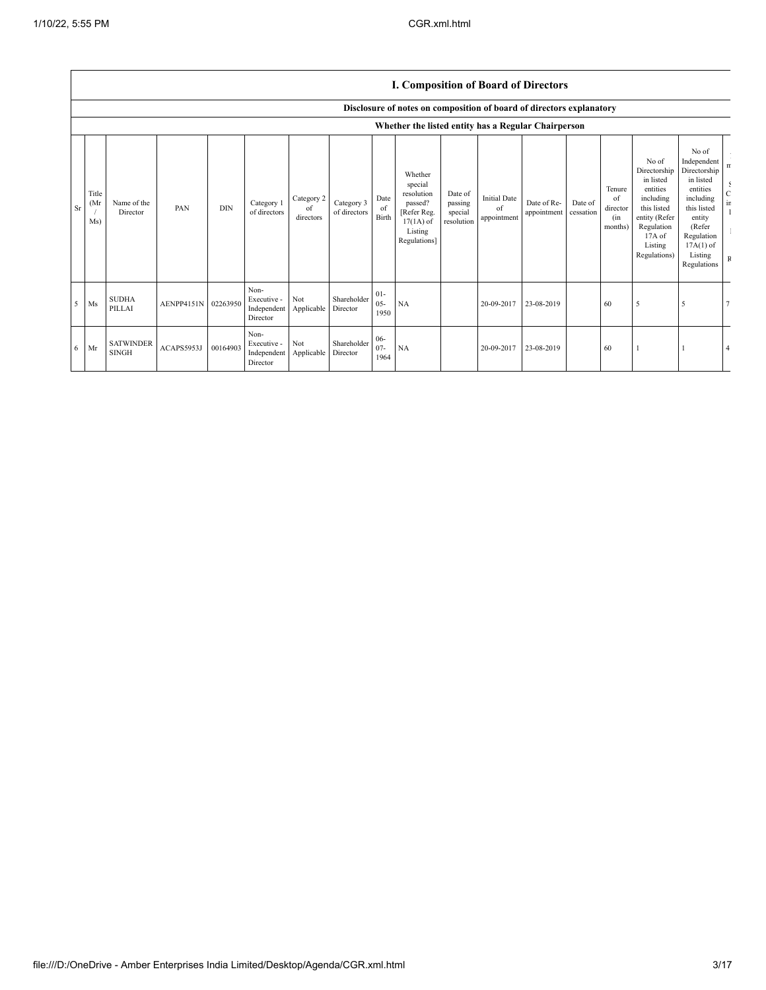|           |                     |                                  |                     |            |                                                |                               |                            |                          | Disclosure of notes on composition of board of directors explanatory                                 |                                             |                                          |                            |                      |                                            |                                                                                                                                                |                                                                                                                                                                      |                                                             |
|-----------|---------------------|----------------------------------|---------------------|------------|------------------------------------------------|-------------------------------|----------------------------|--------------------------|------------------------------------------------------------------------------------------------------|---------------------------------------------|------------------------------------------|----------------------------|----------------------|--------------------------------------------|------------------------------------------------------------------------------------------------------------------------------------------------|----------------------------------------------------------------------------------------------------------------------------------------------------------------------|-------------------------------------------------------------|
|           |                     |                                  |                     |            |                                                |                               |                            |                          | Whether the listed entity has a Regular Chairperson                                                  |                                             |                                          |                            |                      |                                            |                                                                                                                                                |                                                                                                                                                                      |                                                             |
| <b>Sr</b> | Title<br>(Mr<br>Ms) | Name of the<br>Director          | PAN                 | <b>DIN</b> | Category 1<br>of directors                     | Category 2<br>of<br>directors | Category 3<br>of directors | Date<br>of<br>Birth      | Whether<br>special<br>resolution<br>passed?<br>[Refer Reg.<br>$17(1A)$ of<br>Listing<br>Regulations] | Date of<br>passing<br>special<br>resolution | <b>Initial Date</b><br>of<br>appointment | Date of Re-<br>appointment | Date of<br>cessation | Tenure<br>of<br>director<br>(in<br>months) | No of<br>Directorship<br>in listed<br>entities<br>including<br>this listed<br>entity (Refer<br>Regulation<br>17A of<br>Listing<br>Regulations) | No of<br>Independent<br>Directorship<br>in listed<br>entities<br>including<br>this listed<br>entity<br>(Refer<br>Regulation<br>$17A(1)$ of<br>Listing<br>Regulations | n<br>$\frac{1}{2}$<br>$\frac{C}{\text{ir}}$<br>$\, {\bf F}$ |
|           | $5$ Ms              | <b>SUDHA</b><br>PILLAI           | AENPP4151N 02263950 |            | Non-<br>Executive -<br>Independent<br>Director | Not<br>Applicable             | Shareholder<br>Director    | $01 -$<br>$05 -$<br>1950 | NA                                                                                                   |                                             | 20-09-2017                               | 23-08-2019                 |                      | 60                                         | 5                                                                                                                                              | 5                                                                                                                                                                    |                                                             |
|           | $6$ Mr              | <b>SATWINDER</b><br><b>SINGH</b> | ACAPS5953J          | 00164903   | Non-<br>Executive -<br>Independent<br>Director | Not<br>Applicable             | Shareholder<br>Director    | $06 -$<br>$07 -$<br>1964 | NA                                                                                                   |                                             | 20-09-2017                               | 23-08-2019                 |                      | 60                                         |                                                                                                                                                |                                                                                                                                                                      |                                                             |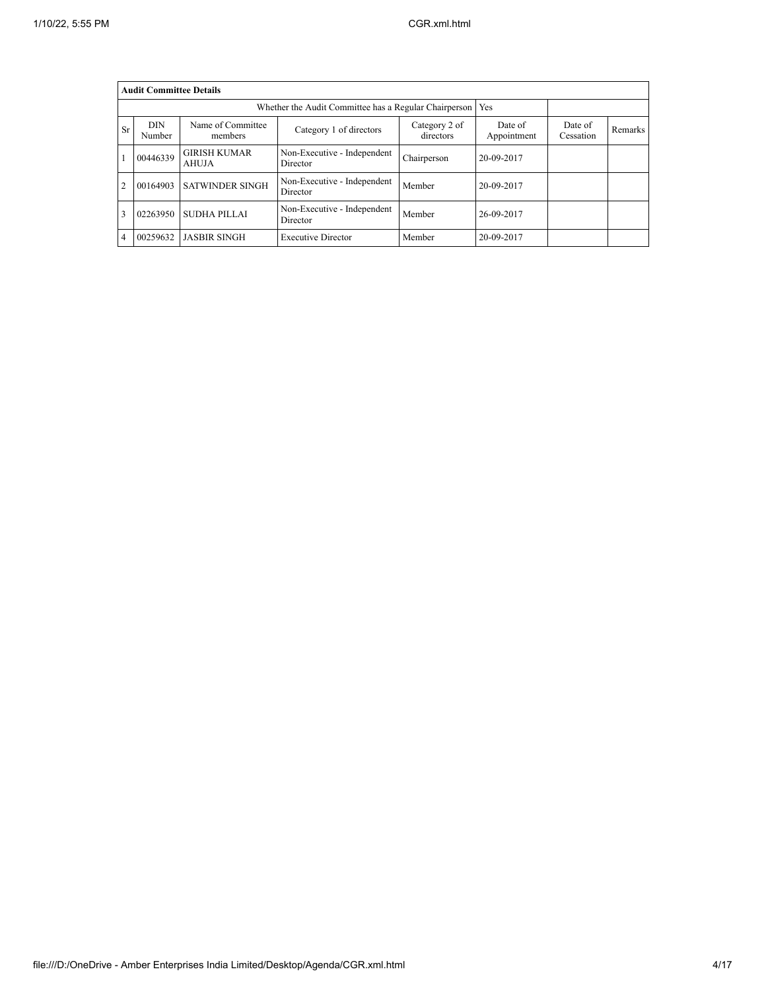|    | <b>Audit Committee Details</b>                              |                              |                                         |                            |                        |                      |         |  |  |  |  |  |  |
|----|-------------------------------------------------------------|------------------------------|-----------------------------------------|----------------------------|------------------------|----------------------|---------|--|--|--|--|--|--|
|    | Whether the Audit Committee has a Regular Chairperson   Yes |                              |                                         |                            |                        |                      |         |  |  |  |  |  |  |
| Sr | <b>DIN</b><br>Number                                        | Name of Committee<br>members | Category 1 of directors                 | Category 2 of<br>directors | Date of<br>Appointment | Date of<br>Cessation | Remarks |  |  |  |  |  |  |
|    | 00446339                                                    | <b>GIRISH KUMAR</b><br>AHUJA | Non-Executive - Independent<br>Director | Chairperson                | 20-09-2017             |                      |         |  |  |  |  |  |  |
| 2  | 00164903                                                    | <b>SATWINDER SINGH</b>       | Non-Executive - Independent<br>Director | Member                     | 20-09-2017             |                      |         |  |  |  |  |  |  |
|    | 02263950                                                    | SUDHA PILLAI                 | Non-Executive - Independent<br>Director | Member                     | 26-09-2017             |                      |         |  |  |  |  |  |  |
| 4  | 00259632                                                    | <b>JASBIR SINGH</b>          | <b>Executive Director</b>               | Member                     | 20-09-2017             |                      |         |  |  |  |  |  |  |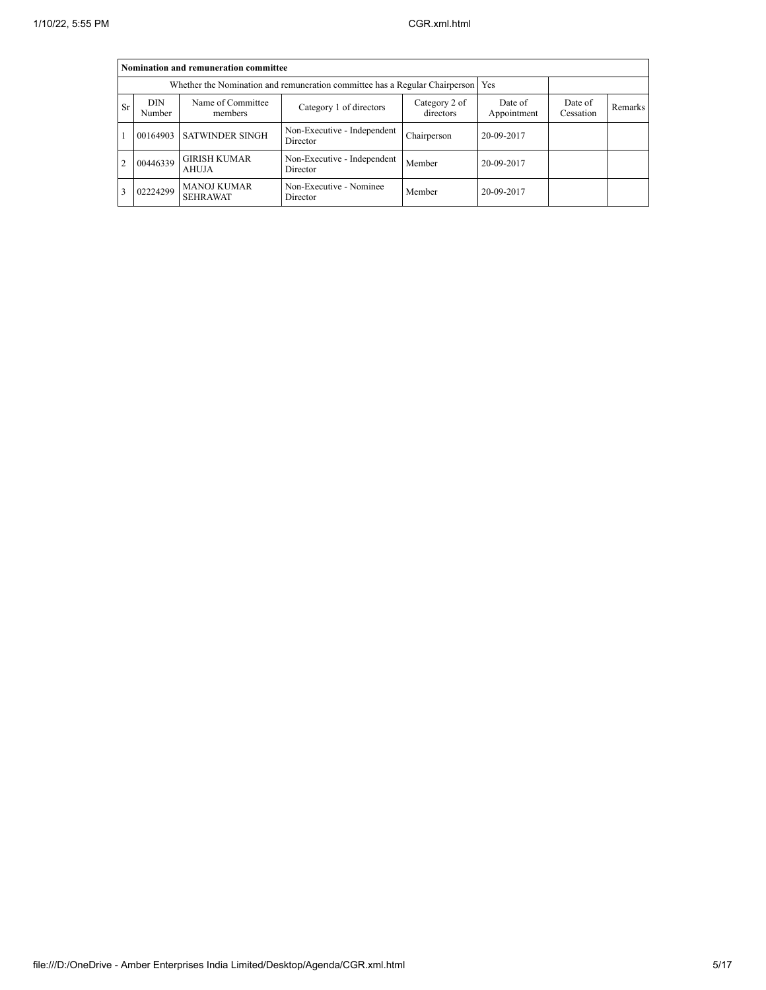|           | Nomination and remuneration committee |                                                                                   |                                         |                            |                        |                      |                |  |  |  |  |  |
|-----------|---------------------------------------|-----------------------------------------------------------------------------------|-----------------------------------------|----------------------------|------------------------|----------------------|----------------|--|--|--|--|--|
|           |                                       | Whether the Nomination and remuneration committee has a Regular Chairperson   Yes |                                         |                            |                        |                      |                |  |  |  |  |  |
| <b>Sr</b> | <b>DIN</b><br>Number                  | Name of Committee<br>members                                                      | Category 1 of directors                 | Category 2 of<br>directors | Date of<br>Appointment | Date of<br>Cessation | <b>Remarks</b> |  |  |  |  |  |
|           |                                       | 00164903 SATWINDER SINGH                                                          | Non-Executive - Independent<br>Director | Chairperson                | 20-09-2017             |                      |                |  |  |  |  |  |
| 2         | 00446339                              | <b>GIRISH KUMAR</b><br>AHUJA                                                      | Non-Executive - Independent<br>Director | Member                     | 20-09-2017             |                      |                |  |  |  |  |  |
| 3         | 02224299                              | <b>MANOJ KUMAR</b><br><b>SEHRAWAT</b>                                             | Non-Executive - Nominee<br>Director     | Member                     | 20-09-2017             |                      |                |  |  |  |  |  |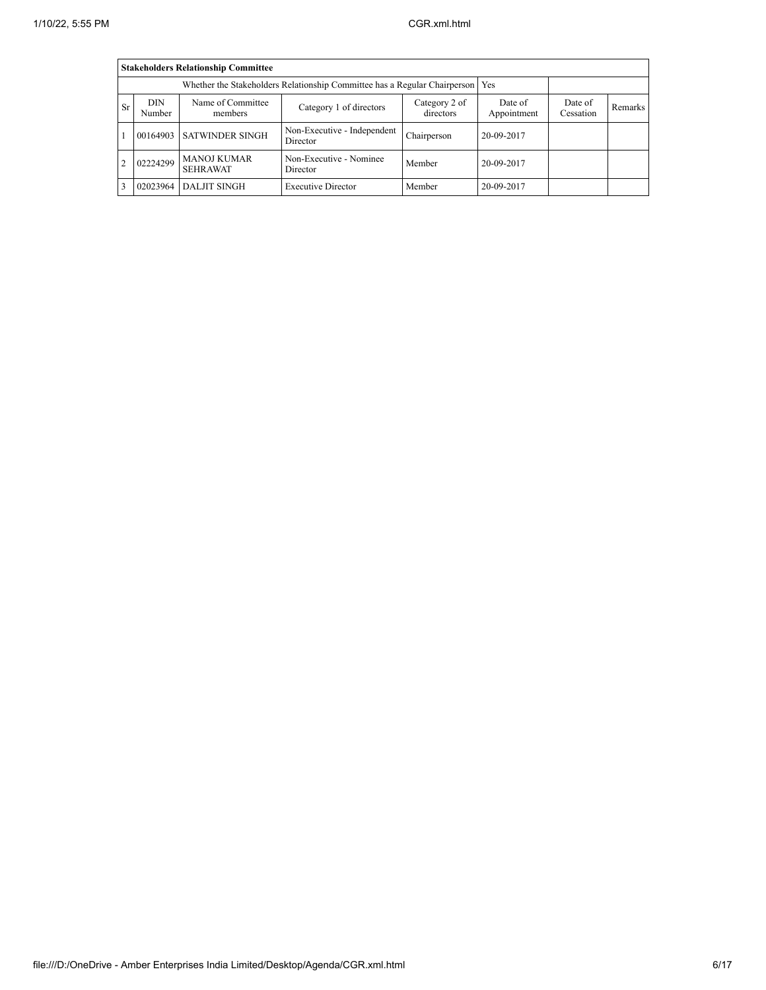|                |                                                                                 | <b>Stakeholders Relationship Committee</b> |                                         |                            |                        |                      |         |  |  |  |  |  |
|----------------|---------------------------------------------------------------------------------|--------------------------------------------|-----------------------------------------|----------------------------|------------------------|----------------------|---------|--|--|--|--|--|
|                | Whether the Stakeholders Relationship Committee has a Regular Chairperson   Yes |                                            |                                         |                            |                        |                      |         |  |  |  |  |  |
| <b>Sr</b>      | <b>DIN</b><br>Number                                                            | Name of Committee<br>members               | Category 1 of directors                 | Category 2 of<br>directors | Date of<br>Appointment | Date of<br>Cessation | Remarks |  |  |  |  |  |
|                |                                                                                 | 00164903 SATWINDER SINGH                   | Non-Executive - Independent<br>Director | Chairperson                | 20-09-2017             |                      |         |  |  |  |  |  |
| $\overline{c}$ | 02224299                                                                        | <b>MANOJ KUMAR</b><br><b>SEHRAWAT</b>      | Non-Executive - Nominee<br>Director     | Member                     | 20-09-2017             |                      |         |  |  |  |  |  |
|                | 02023964                                                                        | <b>DALJIT SINGH</b>                        | <b>Executive Director</b>               | Member                     | 20-09-2017             |                      |         |  |  |  |  |  |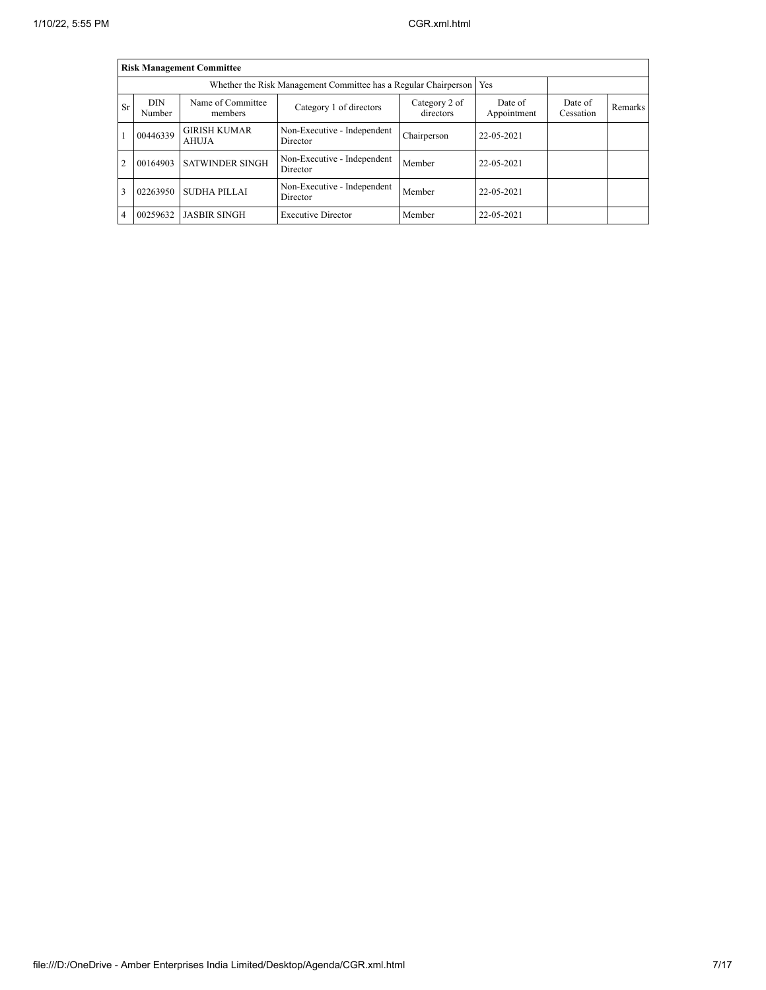|                |                      | <b>Risk Management Committee</b> |                                                                 |                      |            |  |  |
|----------------|----------------------|----------------------------------|-----------------------------------------------------------------|----------------------|------------|--|--|
|                |                      |                                  | Whether the Risk Management Committee has a Regular Chairperson |                      | Yes        |  |  |
| Sr             | <b>DIN</b><br>Number | Name of Committee<br>members     | Date of<br>Appointment                                          | Date of<br>Cessation | Remarks    |  |  |
|                | 00446339             | <b>GIRISH KUMAR</b><br>AHUJA     | 22-05-2021                                                      |                      |            |  |  |
| $\overline{c}$ | 00164903             | <b>SATWINDER SINGH</b>           | Non-Executive - Independent<br>Director                         | Member               | 22-05-2021 |  |  |
| 3              | 02263950             | SUDHA PILLAI                     | 22-05-2021                                                      |                      |            |  |  |
| 4              | 00259632             | <b>JASBIR SINGH</b>              | <b>Executive Director</b>                                       | Member               | 22-05-2021 |  |  |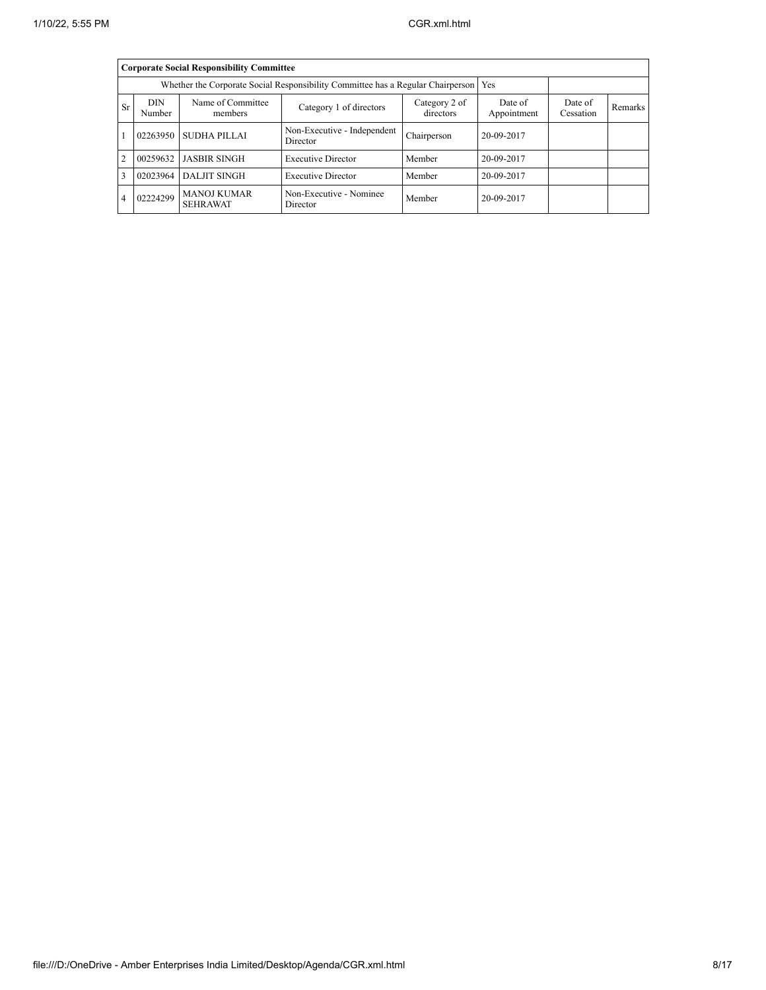|                |                                                                                       | <b>Corporate Social Responsibility Committee</b> |                                         |                            |                        |                      |         |
|----------------|---------------------------------------------------------------------------------------|--------------------------------------------------|-----------------------------------------|----------------------------|------------------------|----------------------|---------|
|                | Whether the Corporate Social Responsibility Committee has a Regular Chairperson   Yes |                                                  |                                         |                            |                        |                      |         |
| Sr             | DIN.<br>Number                                                                        | Name of Committee<br>members                     | Category 1 of directors                 | Category 2 of<br>directors | Date of<br>Appointment | Date of<br>Cessation | Remarks |
|                |                                                                                       | 02263950 SUDHA PILLAI                            | Non-Executive - Independent<br>Director | Chairperson                | 20-09-2017             |                      |         |
| $\overline{2}$ |                                                                                       | 00259632   JASBIR SINGH                          | <b>Executive Director</b>               | Member                     | 20-09-2017             |                      |         |
| 3              | 02023964                                                                              | <b>DALJIT SINGH</b>                              | <b>Executive Director</b>               | Member                     | 20-09-2017             |                      |         |
| 4              | 02224299                                                                              | <b>MANOJ KUMAR</b><br><b>SEHRAWAT</b>            | Non-Executive - Nominee<br>Director     | Member                     | 20-09-2017             |                      |         |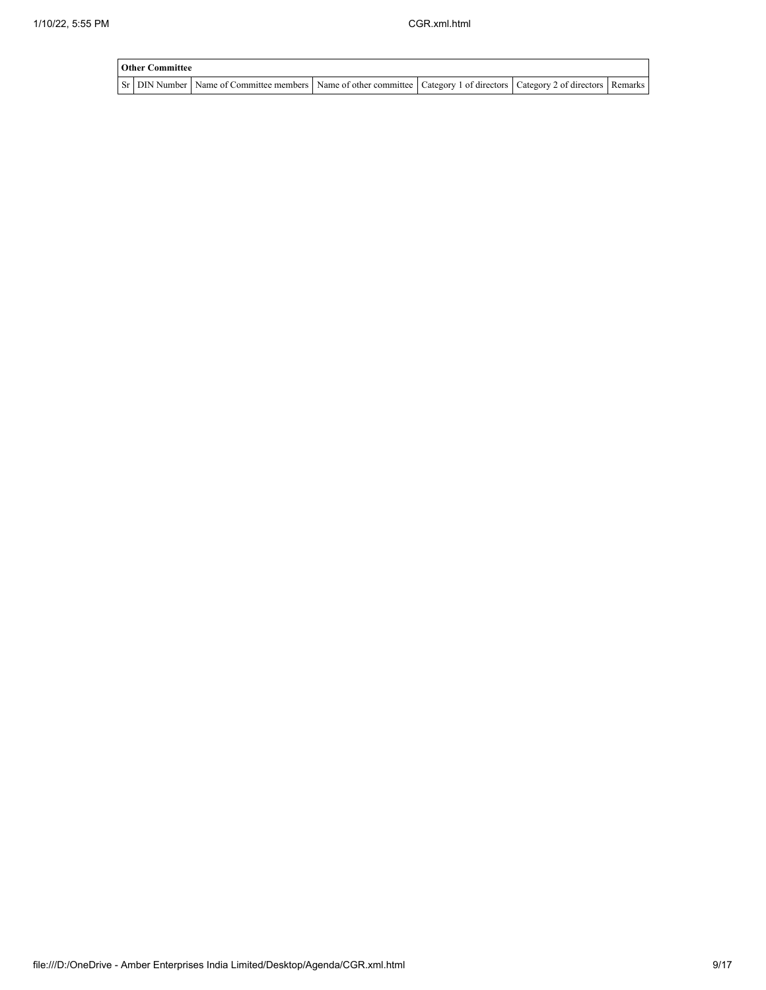| <b>Other Committee</b> |                                                                                                                                     |  |  |
|------------------------|-------------------------------------------------------------------------------------------------------------------------------------|--|--|
|                        | Sr   DIN Number   Name of Committee members   Name of other committee   Category 1 of directors   Category 2 of directors   Remarks |  |  |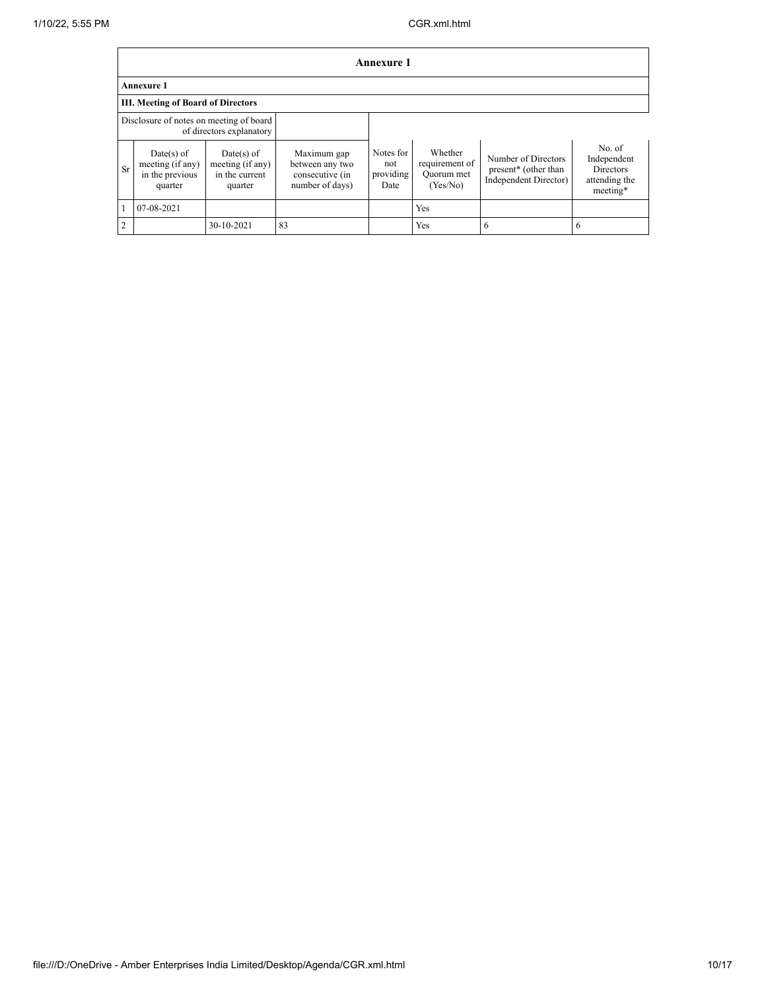|                | <b>Annexure 1</b>                                                   |                                                               |                                                                      |                                       |                                                     |                                                                      |                                                                        |  |  |  |  |  |
|----------------|---------------------------------------------------------------------|---------------------------------------------------------------|----------------------------------------------------------------------|---------------------------------------|-----------------------------------------------------|----------------------------------------------------------------------|------------------------------------------------------------------------|--|--|--|--|--|
|                | <b>Annexure 1</b>                                                   |                                                               |                                                                      |                                       |                                                     |                                                                      |                                                                        |  |  |  |  |  |
|                | <b>III. Meeting of Board of Directors</b>                           |                                                               |                                                                      |                                       |                                                     |                                                                      |                                                                        |  |  |  |  |  |
|                | Disclosure of notes on meeting of board<br>of directors explanatory |                                                               |                                                                      |                                       |                                                     |                                                                      |                                                                        |  |  |  |  |  |
| <b>Sr</b>      | Date(s) of<br>meeting (if any)<br>in the previous<br>quarter        | $Date(s)$ of<br>meeting (if any)<br>in the current<br>quarter | Maximum gap<br>between any two<br>consecutive (in<br>number of days) | Notes for<br>not<br>providing<br>Date | Whether<br>requirement of<br>Quorum met<br>(Yes/No) | Number of Directors<br>present* (other than<br>Independent Director) | No. of<br>Independent<br><b>Directors</b><br>attending the<br>meeting* |  |  |  |  |  |
|                | 07-08-2021                                                          |                                                               |                                                                      |                                       | <b>Yes</b>                                          |                                                                      |                                                                        |  |  |  |  |  |
| $\overline{2}$ |                                                                     | 30-10-2021                                                    | 83                                                                   |                                       | Yes                                                 | 6                                                                    | -6                                                                     |  |  |  |  |  |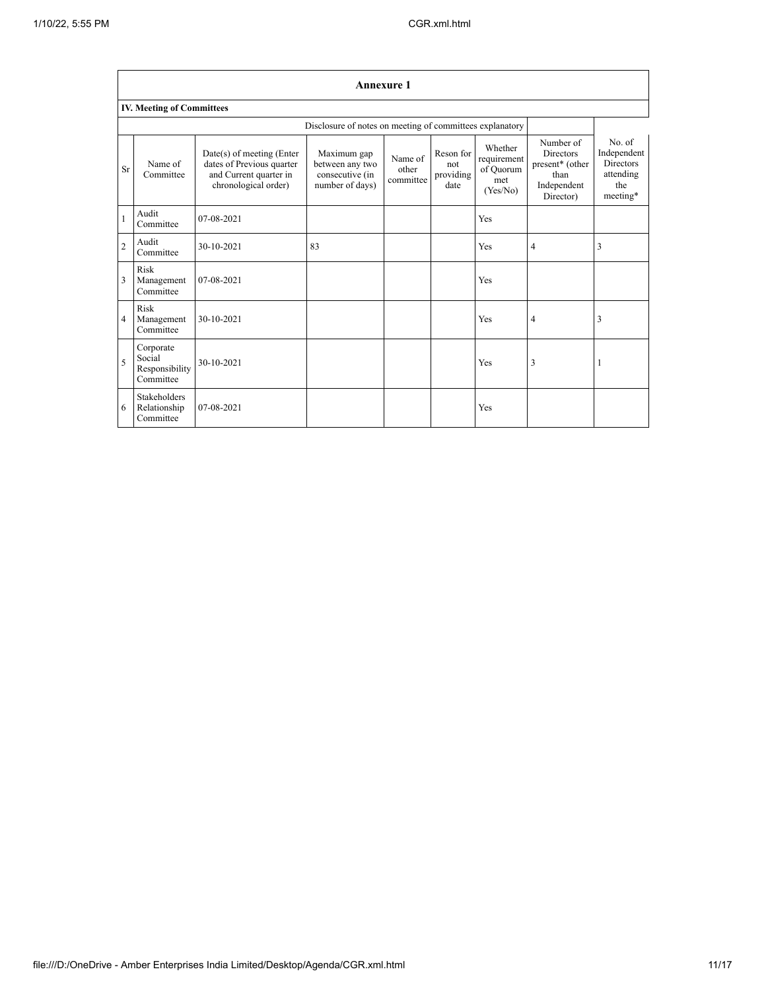|                |                                                    |                                                                                                          |                                                                      | <b>Annexure 1</b>             |                                       |                                                        |                                                                                      |                                                                           |
|----------------|----------------------------------------------------|----------------------------------------------------------------------------------------------------------|----------------------------------------------------------------------|-------------------------------|---------------------------------------|--------------------------------------------------------|--------------------------------------------------------------------------------------|---------------------------------------------------------------------------|
|                | <b>IV. Meeting of Committees</b>                   |                                                                                                          |                                                                      |                               |                                       |                                                        |                                                                                      |                                                                           |
|                |                                                    |                                                                                                          | Disclosure of notes on meeting of committees explanatory             |                               |                                       |                                                        |                                                                                      |                                                                           |
| Sr             | Name of<br>Committee                               | Date(s) of meeting (Enter<br>dates of Previous quarter<br>and Current quarter in<br>chronological order) | Maximum gap<br>between any two<br>consecutive (in<br>number of days) | Name of<br>other<br>committee | Reson for<br>not<br>providing<br>date | Whether<br>requirement<br>of Quorum<br>met<br>(Yes/No) | Number of<br><b>Directors</b><br>present* (other<br>than<br>Independent<br>Director) | No. of<br>Independent<br><b>Directors</b><br>attending<br>the<br>meeting* |
| 1              | Audit<br>Committee                                 | 07-08-2021                                                                                               |                                                                      |                               |                                       | Yes                                                    |                                                                                      |                                                                           |
| $\overline{c}$ | Audit<br>Committee                                 | 30-10-2021                                                                                               | 83                                                                   |                               |                                       | Yes                                                    | 4                                                                                    | 3                                                                         |
| 3              | Risk<br>Management<br>Committee                    | 07-08-2021                                                                                               |                                                                      |                               |                                       | Yes                                                    |                                                                                      |                                                                           |
| 4              | Risk<br>Management<br>Committee                    | 30-10-2021                                                                                               |                                                                      |                               |                                       | Yes                                                    | 4                                                                                    | 3                                                                         |
| 5              | Corporate<br>Social<br>Responsibility<br>Committee | 30-10-2021                                                                                               |                                                                      |                               |                                       | Yes                                                    | 3                                                                                    |                                                                           |
| 6              | <b>Stakeholders</b><br>Relationship<br>Committee   | 07-08-2021                                                                                               |                                                                      |                               |                                       | Yes                                                    |                                                                                      |                                                                           |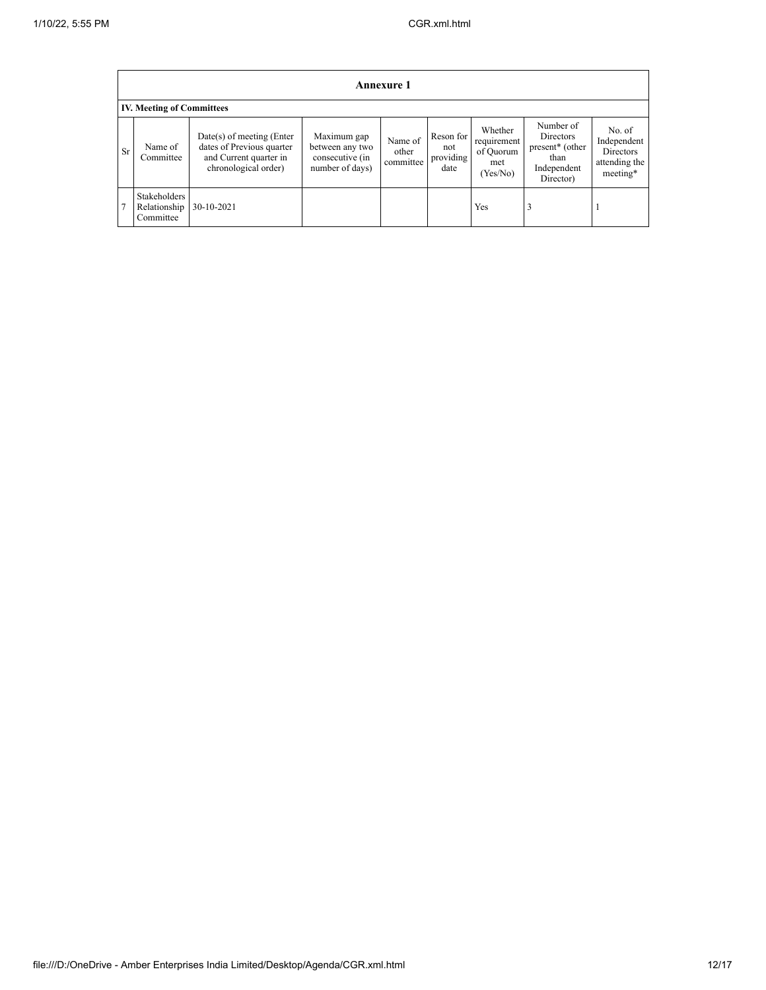|           | <b>Annexure 1</b>                         |                                                                                                            |                                                                      |                               |                                       |                                                        |                                                                               |                                                                 |
|-----------|-------------------------------------------|------------------------------------------------------------------------------------------------------------|----------------------------------------------------------------------|-------------------------------|---------------------------------------|--------------------------------------------------------|-------------------------------------------------------------------------------|-----------------------------------------------------------------|
|           | <b>IV. Meeting of Committees</b>          |                                                                                                            |                                                                      |                               |                                       |                                                        |                                                                               |                                                                 |
| <b>Sr</b> | Name of<br>Committee                      | $Date(s)$ of meeting (Enter<br>dates of Previous quarter<br>and Current quarter in<br>chronological order) | Maximum gap<br>between any two<br>consecutive (in<br>number of days) | Name of<br>other<br>committee | Reson for<br>not<br>providing<br>date | Whether<br>requirement<br>of Quorum<br>met<br>(Yes/No) | Number of<br>Directors<br>present* (other<br>than<br>Independent<br>Director) | No. of<br>Independent<br>Directors<br>attending the<br>meeting* |
| 7         | Stakeholders<br>Relationship<br>Committee | 30-10-2021                                                                                                 |                                                                      |                               |                                       | Yes                                                    | 3                                                                             |                                                                 |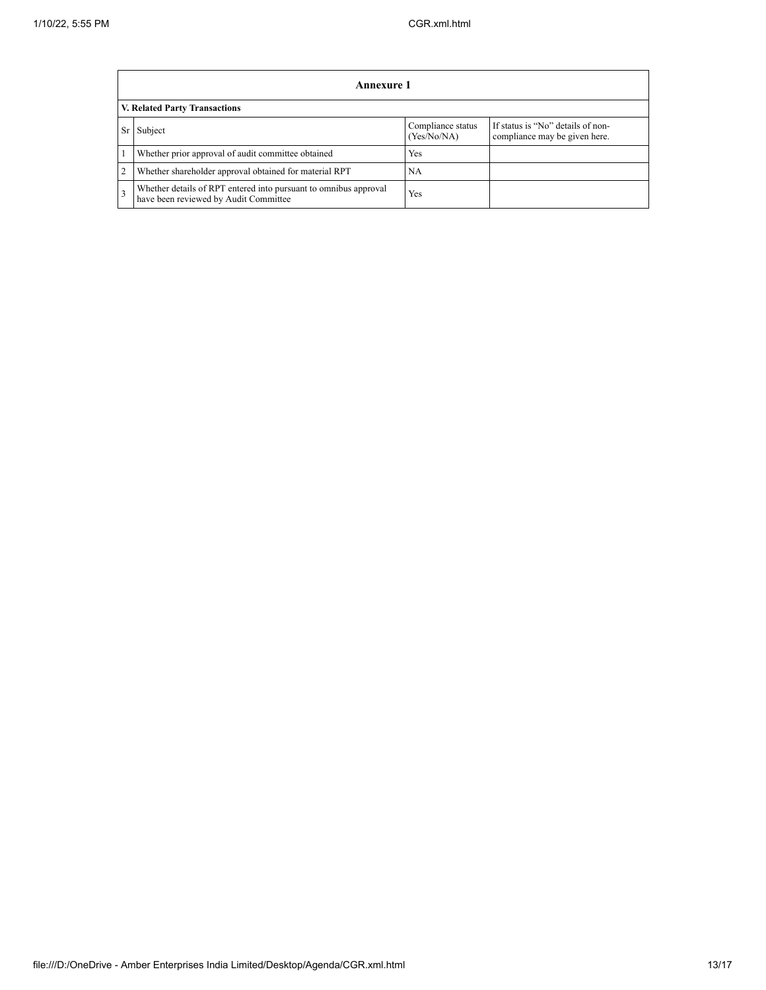|                               | <b>Annexure 1</b>                                                                                         |                                  |                                                                    |  |  |
|-------------------------------|-----------------------------------------------------------------------------------------------------------|----------------------------------|--------------------------------------------------------------------|--|--|
| V. Related Party Transactions |                                                                                                           |                                  |                                                                    |  |  |
| Sr                            | Subject                                                                                                   | Compliance status<br>(Yes/No/NA) | If status is "No" details of non-<br>compliance may be given here. |  |  |
|                               | Whether prior approval of audit committee obtained                                                        | Yes                              |                                                                    |  |  |
| $\overline{c}$                | Whether shareholder approval obtained for material RPT                                                    | <b>NA</b>                        |                                                                    |  |  |
| 3                             | Whether details of RPT entered into pursuant to omnibus approval<br>have been reviewed by Audit Committee | Yes                              |                                                                    |  |  |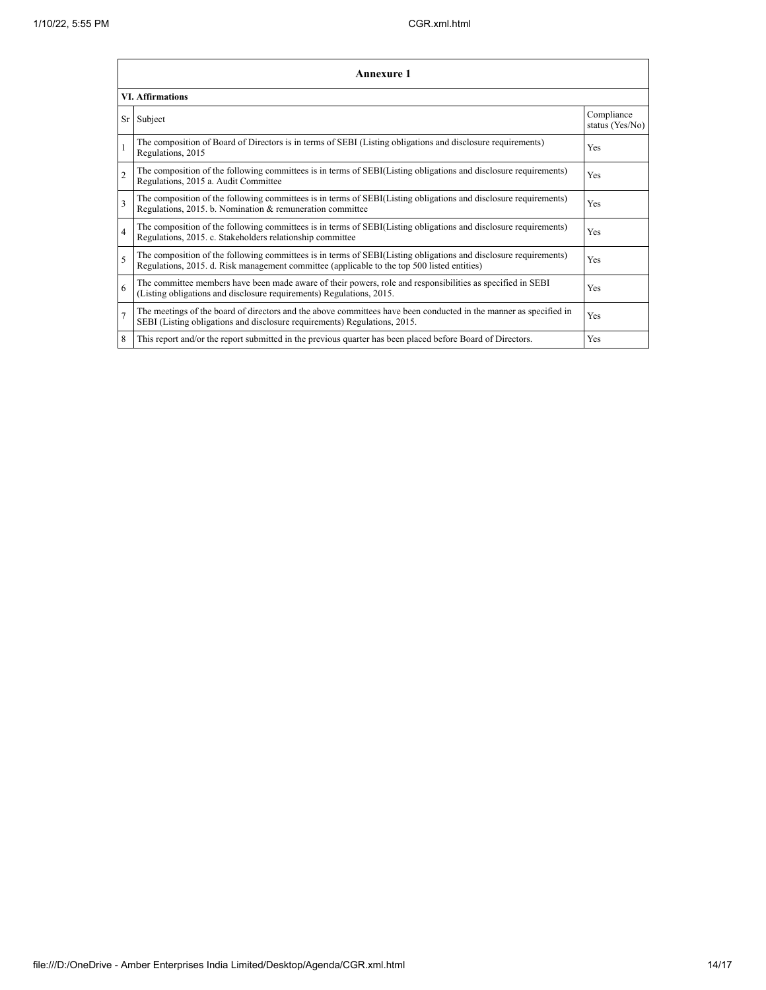|                          | <b>Annexure 1</b>                                                                                                                                                                                               |                               |  |  |  |
|--------------------------|-----------------------------------------------------------------------------------------------------------------------------------------------------------------------------------------------------------------|-------------------------------|--|--|--|
|                          | <b>VI. Affirmations</b>                                                                                                                                                                                         |                               |  |  |  |
| Sr                       | Subject                                                                                                                                                                                                         | Compliance<br>status (Yes/No) |  |  |  |
|                          | The composition of Board of Directors is in terms of SEBI (Listing obligations and disclosure requirements)<br>Regulations, 2015                                                                                | <b>Yes</b>                    |  |  |  |
| $\overline{c}$           | The composition of the following committees is in terms of SEBI(Listing obligations and disclosure requirements)<br>Regulations, 2015 a. Audit Committee                                                        | Yes                           |  |  |  |
| $\overline{\mathbf{3}}$  | The composition of the following committees is in terms of SEBI(Listing obligations and disclosure requirements)<br>Regulations, 2015. b. Nomination & remuneration committee                                   | Yes                           |  |  |  |
| $\overline{4}$           | The composition of the following committees is in terms of SEBI(Listing obligations and disclosure requirements)<br>Regulations, 2015. c. Stakeholders relationship committee                                   | Yes                           |  |  |  |
| $\overline{\phantom{0}}$ | The composition of the following committees is in terms of SEBI(Listing obligations and disclosure requirements)<br>Regulations, 2015. d. Risk management committee (applicable to the top 500 listed entities) | Yes                           |  |  |  |
| 6                        | The committee members have been made aware of their powers, role and responsibilities as specified in SEBI<br>(Listing obligations and disclosure requirements) Regulations, 2015.                              | Yes                           |  |  |  |
| $\overline{7}$           | The meetings of the board of directors and the above committees have been conducted in the manner as specified in<br>SEBI (Listing obligations and disclosure requirements) Regulations, 2015.                  | Yes                           |  |  |  |
| 8                        | This report and/or the report submitted in the previous quarter has been placed before Board of Directors.                                                                                                      | Yes                           |  |  |  |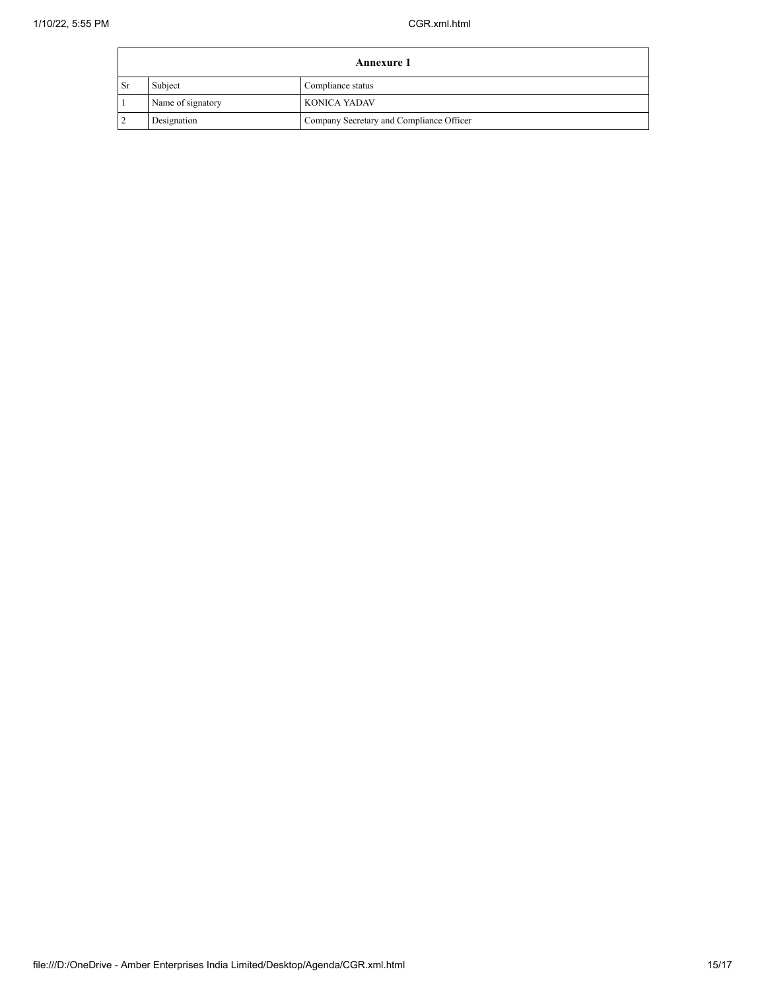| <b>Annexure 1</b> |                   |                                          |
|-------------------|-------------------|------------------------------------------|
| <sub>Sr</sub>     | Subject           | Compliance status                        |
|                   | Name of signatory | KONICA YADAV                             |
|                   | Designation       | Company Secretary and Compliance Officer |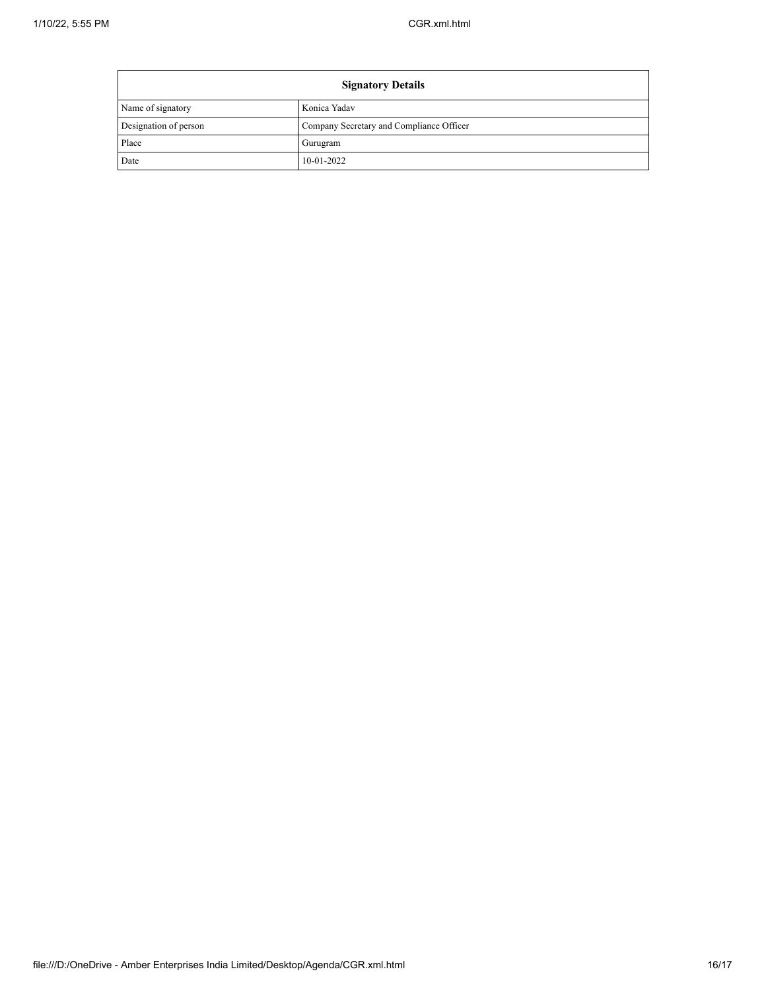| <b>Signatory Details</b> |                                          |
|--------------------------|------------------------------------------|
| Name of signatory        | Konica Yadav                             |
| Designation of person    | Company Secretary and Compliance Officer |
| Place                    | Gurugram                                 |
| Date                     | $10-01-2022$                             |